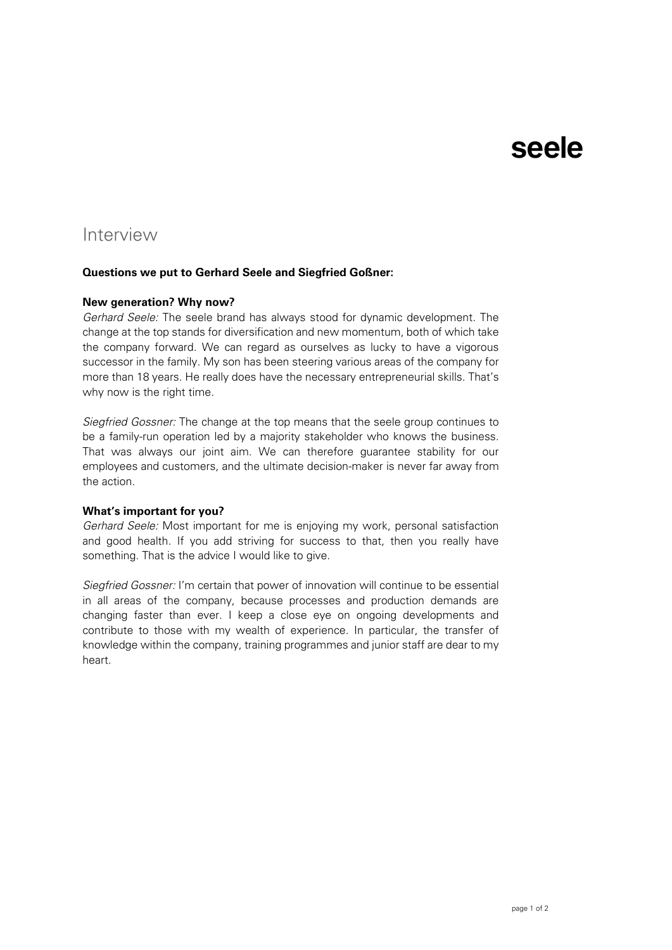# seele

# Interview

### **Questions we put to Gerhard Seele and Siegfried Goßner:**

#### **New generation? Why now?**

*Gerhard Seele:* The seele brand has always stood for dynamic development. The change at the top stands for diversification and new momentum, both of which take the company forward. We can regard as ourselves as lucky to have a vigorous successor in the family. My son has been steering various areas of the company for more than 18 years. He really does have the necessary entrepreneurial skills. That's why now is the right time.

*Siegfried Gossner:* The change at the top means that the seele group continues to be a family-run operation led by a majority stakeholder who knows the business. That was always our joint aim. We can therefore guarantee stability for our employees and customers, and the ultimate decision-maker is never far away from the action.

# **What's important for you?**

*Gerhard Seele:* Most important for me is enjoying my work, personal satisfaction and good health. If you add striving for success to that, then you really have something. That is the advice I would like to give.

*Siegfried Gossner:* I'm certain that power of innovation will continue to be essential in all areas of the company, because processes and production demands are changing faster than ever. I keep a close eye on ongoing developments and contribute to those with my wealth of experience. In particular, the transfer of knowledge within the company, training programmes and junior staff are dear to my heart.